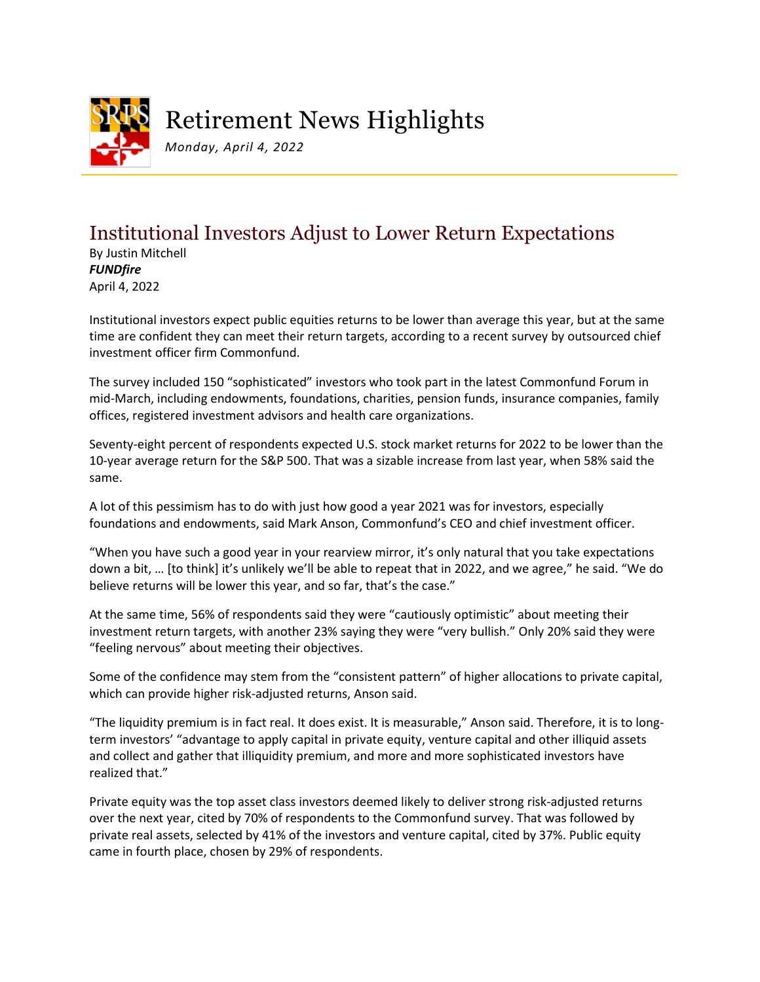

## Retirement News Highlights

*Monday, April 4, 2022*

## Institutional Investors Adjust to Lower Return Expectations

By Justin Mitchell *FUNDfire* April 4, 2022

Institutional investors expect public equities returns to be lower than average this year, but at the same time are confident they can meet their return targets, according to a recent survey by outsourced chief investment officer firm Commonfund.

The survey included 150 "sophisticated" investors who took part in the latest Commonfund Forum in mid-March, including endowments, foundations, charities, pension funds, insurance companies, family offices, registered investment advisors and health care organizations.

Seventy-eight percent of respondents expected U.S. stock market returns for 2022 to be lower than the 10-year average return for the S&P 500. That was a sizable increase from last year, when 58% said the same.

A lot of this pessimism has to do with just how good a year 2021 was for investors, especially foundations and endowments, said Mark Anson, Commonfund's CEO and chief investment officer.

"When you have such a good year in your rearview mirror, it's only natural that you take expectations down a bit, … [to think] it's unlikely we'll be able to repeat that in 2022, and we agree," he said. "We do believe returns will be lower this year, and so far, that's the case."

At the same time, 56% of respondents said they were "cautiously optimistic" about meeting their investment return targets, with another 23% saying they were "very bullish." Only 20% said they were "feeling nervous" about meeting their objectives.

Some of the confidence may stem from the "consistent pattern" of higher allocations to private capital, which can provide higher risk-adjusted returns, Anson said.

"The liquidity premium is in fact real. It does exist. It is measurable," Anson said. Therefore, it is to longterm investors' "advantage to apply capital in private equity, venture capital and other illiquid assets and collect and gather that illiquidity premium, and more and more sophisticated investors have realized that."

Private equity was the top asset class investors deemed likely to deliver strong risk-adjusted returns over the next year, cited by 70% of respondents to the Commonfund survey. That was followed by private real assets, selected by 41% of the investors and venture capital, cited by 37%. Public equity came in fourth place, chosen by 29% of respondents.